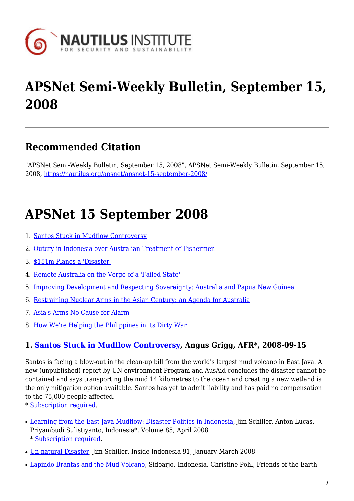

# **APSNet Semi-Weekly Bulletin, September 15, 2008**

## **Recommended Citation**

"APSNet Semi-Weekly Bulletin, September 15, 2008", APSNet Semi-Weekly Bulletin, September 15, 2008, <https://nautilus.org/apsnet/apsnet-15-september-2008/>

## **APSNet 15 September 2008**

- 1. [Santos Stuck in Mudflow Controversy](#page-0-0)
- 2. [Outcry in Indonesia over Australian Treatment of Fishermen](#page-1-0)
- 3. [\\$151m Planes a 'Disaster'](#page-1-1)
- 4. [Remote Australia on the Verge of a 'Failed State'](#page-1-2)
- 5. [Improving Development and Respecting Sovereignty: Australia and Papua New Guinea](#page-1-3)
- 6. [Restraining Nuclear Arms in the Asian Century: an Agenda for Australia](#page-1-4)
- 7. [Asia's Arms No Cause for Alarm](#page-2-0)
- 8. [How We're Helping the Philippines in its Dirty War](#page-2-1)

#### <span id="page-0-0"></span>**1. [Santos Stuck in Mudflow Controversy](http://afr.com/home/viewer.aspx?EDP://20080915000030310679§ion=news&title=Santos stuck in mudflow controversy), Angus Grigg, AFR\*, 2008-09-15**

Santos is facing a blow-out in the clean-up bill from the world's largest mud volcano in East Java. A new (unpublished) report by UN environment Program and AusAid concludes the disaster cannot be contained and says transporting the mud 14 kilometres to the ocean and creating a new wetland is the only mitigation option available. Santos has yet to admit liability and has paid no compensation to the 75,000 people affected.

\* [Subscription required.](http://nautilus.org/subscription.html)

- [Learning from the East Java Mudflow: Disaster Politics in Indonesia](http://cip.cornell.edu/DPubS?verb=Display&version=1.0&service=UI&handle=seap.indo/1211483266), Jim Schiller, Anton Lucas, Priyambudi Sulistiyanto, Indonesia\*, Volume 85, April 2008 \* [Subscription required](http://nautilus.org/subscription.html).
- [Un-natural Disaster](http://insideindonesia.org/content/view/1020/47/), Jim Schiller, Inside Indonesia 91, January-March 2008
- [Lapindo Brantas and the Mud Volcano](http://www.foeeurope.org/publications/2007/LB_mud_volcano_Indonesia.pdf), Sidoarjo, Indonesia, Christine Pohl, Friends of the Earth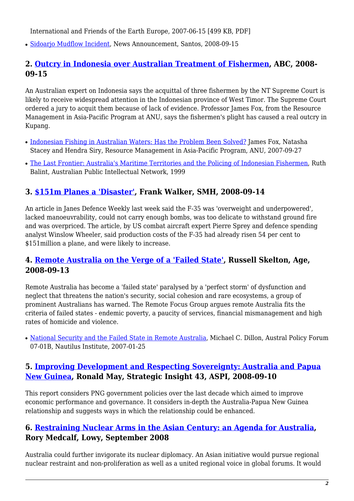International and Friends of the Earth Europe, 2007-06-15 [499 KB, PDF]

• [Sidoarjo Mudflow Incident,](http://www.santos.com.au/Archive/NewsDetail.aspx?p=121&np=78&id=1102) News Announcement, Santos, 2008-09-15

#### <span id="page-1-0"></span>**2. [Outcry in Indonesia over Australian Treatment of Fishermen,](http://www.radioaustralia.net.au/news/stories/200809/s2364505.htm?tab=latest) ABC, 2008- 09-15**

An Australian expert on Indonesia says the acquittal of three fishermen by the NT Supreme Court is likely to receive widespread attention in the Indonesian province of West Timor. The Supreme Court ordered a jury to acquit them because of lack of evidence. Professor James Fox, from the Resource Management in Asia-Pacific Program at ANU, says the fishermen's plight has caused a real outcry in Kupang.

- [Indonesian Fishing in Australian Waters: Has the Problem Been Solved?](http://rspas.anu.edu.au/blogs/rmap/rmap-arguments/fishing/) James Fox, Natasha Stacey and Hendra Siry, Resource Management in Asia-Pacific Program, ANU, 2007-09-27
- [The Last Frontier: Australia's Maritime Territories and the Policing of Indonesian Fishermen,](http://www.api-network.com/main/index.php?apply=scholars&webpage=default&scholar=182) Ruth Balint, Australian Public Intellectual Network, 1999

#### <span id="page-1-1"></span>**3. [\\$151m Planes a 'Disaster'](http://www.smh.com.au/news/national/151m-planes-a-disaster/2008/09/13/1220857899066.html), Frank Walker, SMH, 2008-09-14**

An article in Janes Defence Weekly last week said the F-35 was 'overweight and underpowered', lacked manoeuvrability, could not carry enough bombs, was too delicate to withstand ground fire and was overpriced. The article, by US combat aircraft expert Pierre Sprey and defence spending analyst Winslow Wheeler, said production costs of the F-35 had already risen 54 per cent to \$151million a plane, and were likely to increase.

#### <span id="page-1-2"></span>**4. [Remote Australia on the Verge of a 'Failed State'](http://www.theage.com.au/national/remote-australia-on-the-verge-of-a-failed-state-20080912-4fi7.html?page=-1), Russell Skelton, Age, 2008-09-13**

Remote Australia has become a 'failed state' paralysed by a 'perfect storm' of dysfunction and neglect that threatens the nation's security, social cohesion and rare ecosystems, a group of prominent Australians has warned. The Remote Focus Group argues remote Australia fits the criteria of failed states - endemic poverty, a paucity of services, financial mismanagement and high rates of homicide and violence.

• [National Security and the Failed State in Remote Australia](http://nautilus.org/publications/essays/apsnet/policy-forum/2007/0701a-dillon.html), Michael C. Dillon, Austral Policy Forum 07-01B, Nautilus Institute, 2007-01-25

#### <span id="page-1-3"></span>**5. [Improving Development and Respecting Sovereignty: Australia and Papua](http://www.aspi.org.au/publications/publication_details.aspx?ContentID=183&pubtype=6) [New Guinea](http://www.aspi.org.au/publications/publication_details.aspx?ContentID=183&pubtype=6), Ronald May, Strategic Insight 43, ASPI, 2008-09-10**

This report considers PNG government policies over the last decade which aimed to improve economic performance and governance. It considers in-depth the Australia-Papua New Guinea relationship and suggests ways in which the relationship could be enhanced.

#### <span id="page-1-4"></span>**6. [Restraining Nuclear Arms in the Asian Century: an Agenda for Australia](http://www.lowyinstitute.org/Publication.asp?pid=885), Rory Medcalf, Lowy, September 2008**

Australia could further invigorate its nuclear diplomacy. An Asian initiative would pursue regional nuclear restraint and non-proliferation as well as a united regional voice in global forums. It would